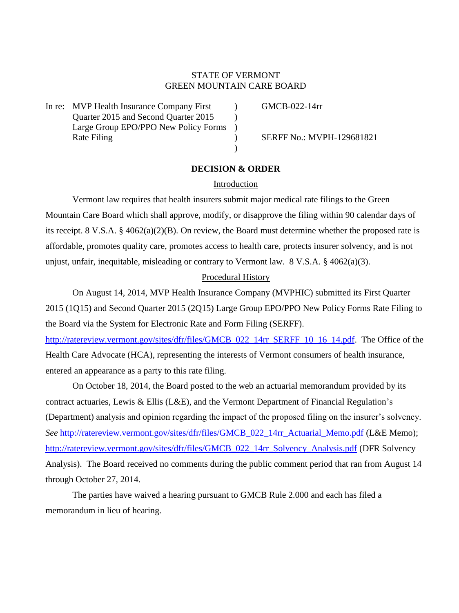# STATE OF VERMONT GREEN MOUNTAIN CARE BOARD

In re: MVP Health Insurance Company First (a) GMCB-022-14rr Quarter 2015 and Second Quarter 2015 Large Group EPO/PPO New Policy Forms ) Rate Filing (a) SERFF No.: MVPH-129681821

## **DECISION & ORDER**

 $\lambda$ 

### Introduction

Vermont law requires that health insurers submit major medical rate filings to the Green Mountain Care Board which shall approve, modify, or disapprove the filing within 90 calendar days of its receipt. 8 V.S.A. § 4062(a)(2)(B). On review, the Board must determine whether the proposed rate is affordable, promotes quality care, promotes access to health care, protects insurer solvency, and is not unjust, unfair, inequitable, misleading or contrary to Vermont law. 8 V.S.A. § 4062(a)(3).

#### Procedural History

On August 14, 2014, MVP Health Insurance Company (MVPHIC) submitted its First Quarter 2015 (1Q15) and Second Quarter 2015 (2Q15) Large Group EPO/PPO New Policy Forms Rate Filing to the Board via the System for Electronic Rate and Form Filing (SERFF).

[http://ratereview.vermont.gov/sites/dfr/files/GMCB\\_022\\_14rr\\_SERFF\\_10\\_16\\_14.pdf.](http://ratereview.vermont.gov/sites/dfr/files/GMCB_022_14rr_SERFF_10_16_14.pdf) The Office of the Health Care Advocate (HCA), representing the interests of Vermont consumers of health insurance, entered an appearance as a party to this rate filing.

On October 18, 2014, the Board posted to the web an actuarial memorandum provided by its contract actuaries, Lewis & Ellis (L&E), and the Vermont Department of Financial Regulation's (Department) analysis and opinion regarding the impact of the proposed filing on the insurer's solvency. *See* [http://ratereview.vermont.gov/sites/dfr/files/GMCB\\_022\\_14rr\\_Actuarial\\_Memo.pdf](http://ratereview.vermont.gov/sites/dfr/files/GMCB_022_14rr_Actuarial_Memo.pdf) (L&E Memo); [http://ratereview.vermont.gov/sites/dfr/files/GMCB\\_022\\_14rr\\_Solvency\\_Analysis.pdf](http://ratereview.vermont.gov/sites/dfr/files/GMCB_022_14rr_Solvency_Analysis.pdf) (DFR Solvency Analysis). The Board received no comments during the public comment period that ran from August 14 through October 27, 2014.

The parties have waived a hearing pursuant to GMCB Rule 2.000 and each has filed a memorandum in lieu of hearing.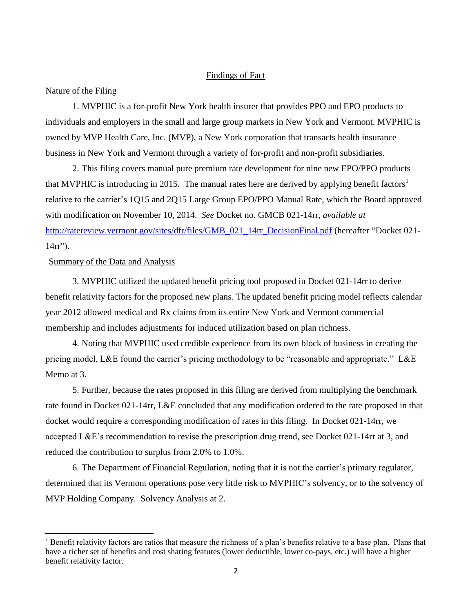### Findings of Fact

#### Nature of the Filing

1. MVPHIC is a for-profit New York health insurer that provides PPO and EPO products to individuals and employers in the small and large group markets in New York and Vermont. MVPHIC is owned by MVP Health Care, Inc. (MVP), a New York corporation that transacts health insurance business in New York and Vermont through a variety of for-profit and non-profit subsidiaries.

2. This filing covers manual pure premium rate development for nine new EPO/PPO products that MVPHIC is introducing in 2015. The manual rates here are derived by applying benefit factors<sup>1</sup> relative to the carrier's 1Q15 and 2Q15 Large Group EPO/PPO Manual Rate, which the Board approved with modification on November 10, 2014. *See* Docket no. GMCB 021-14rr, *available at* [http://ratereview.vermont.gov/sites/dfr/files/GMB\\_021\\_14rr\\_DecisionFinal.pdf](http://ratereview.vermont.gov/sites/dfr/files/GMB_021_14rr_DecisionFinal.pdf) (hereafter "Docket 021-  $14rr"$ ).

### Summary of the Data and Analysis

 $\overline{a}$ 

3. MVPHIC utilized the updated benefit pricing tool proposed in Docket 021-14rr to derive benefit relativity factors for the proposed new plans. The updated benefit pricing model reflects calendar year 2012 allowed medical and Rx claims from its entire New York and Vermont commercial membership and includes adjustments for induced utilization based on plan richness.

4. Noting that MVPHIC used credible experience from its own block of business in creating the pricing model, L&E found the carrier's pricing methodology to be "reasonable and appropriate." L&E Memo at 3.

5. Further, because the rates proposed in this filing are derived from multiplying the benchmark rate found in Docket 021-14rr, L&E concluded that any modification ordered to the rate proposed in that docket would require a corresponding modification of rates in this filing. In Docket 021-14rr, we accepted L&E's recommendation to revise the prescription drug trend, see Docket 021-14rr at 3, and reduced the contribution to surplus from 2.0% to 1.0%.

6. The Department of Financial Regulation, noting that it is not the carrier's primary regulator, determined that its Vermont operations pose very little risk to MVPHIC's solvency, or to the solvency of MVP Holding Company. Solvency Analysis at 2.

 $<sup>1</sup>$  Benefit relativity factors are ratios that measure the richness of a plan's benefits relative to a base plan. Plans that</sup> have a richer set of benefits and cost sharing features (lower deductible, lower co-pays, etc.) will have a higher benefit relativity factor.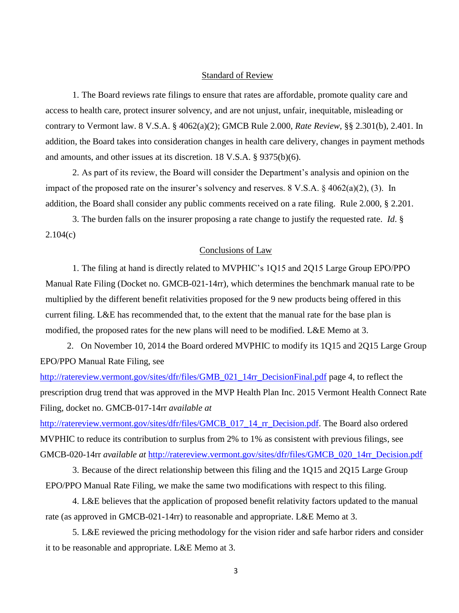#### Standard of Review

1. The Board reviews rate filings to ensure that rates are affordable, promote quality care and access to health care, protect insurer solvency, and are not unjust, unfair, inequitable, misleading or contrary to Vermont law. 8 V.S.A. § 4062(a)(2); GMCB Rule 2.000, *Rate Review*, §§ 2.301(b), 2.401. In addition, the Board takes into consideration changes in health care delivery, changes in payment methods and amounts, and other issues at its discretion. 18 V.S.A. § 9375(b)(6).

2. As part of its review, the Board will consider the Department's analysis and opinion on the impact of the proposed rate on the insurer's solvency and reserves. 8 V.S.A. § 4062(a)(2), (3). In addition, the Board shall consider any public comments received on a rate filing. Rule 2.000, § 2.201.

3. The burden falls on the insurer proposing a rate change to justify the requested rate. *Id*. § 2.104(c)

## Conclusions of Law

1. The filing at hand is directly related to MVPHIC's 1Q15 and 2Q15 Large Group EPO/PPO Manual Rate Filing (Docket no. GMCB-021-14rr), which determines the benchmark manual rate to be multiplied by the different benefit relativities proposed for the 9 new products being offered in this current filing. L&E has recommended that, to the extent that the manual rate for the base plan is modified, the proposed rates for the new plans will need to be modified. L&E Memo at 3.

2. On November 10, 2014 the Board ordered MVPHIC to modify its 1Q15 and 2Q15 Large Group EPO/PPO Manual Rate Filing, see

[http://ratereview.vermont.gov/sites/dfr/files/GMB\\_021\\_14rr\\_DecisionFinal.pdf](http://ratereview.vermont.gov/sites/dfr/files/GMB_021_14rr_DecisionFinal.pdf) page 4, to reflect the prescription drug trend that was approved in the MVP Health Plan Inc. 2015 Vermont Health Connect Rate Filing, docket no. GMCB-017-14rr *available at*

[http://ratereview.vermont.gov/sites/dfr/files/GMCB\\_017\\_14\\_rr\\_Decision.pdf.](http://ratereview.vermont.gov/sites/dfr/files/GMCB_017_14_rr_Decision.pdf) The Board also ordered MVPHIC to reduce its contribution to surplus from 2% to 1% as consistent with previous filings, see GMCB-020-14rr *available at* [http://ratereview.vermont.gov/sites/dfr/files/GMCB\\_020\\_14rr\\_Decision.pdf](http://ratereview.vermont.gov/sites/dfr/files/GMCB_020_14rr_Decision.pdf)

3. Because of the direct relationship between this filing and the 1Q15 and 2Q15 Large Group EPO/PPO Manual Rate Filing, we make the same two modifications with respect to this filing.

4. L&E believes that the application of proposed benefit relativity factors updated to the manual rate (as approved in GMCB-021-14rr) to reasonable and appropriate. L&E Memo at 3.

5. L&E reviewed the pricing methodology for the vision rider and safe harbor riders and consider it to be reasonable and appropriate. L&E Memo at 3.